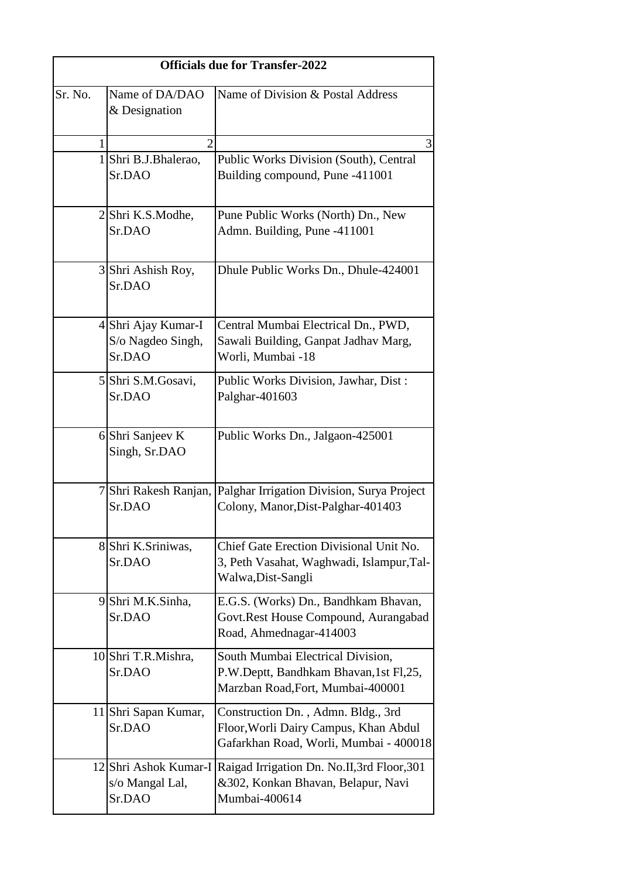| <b>Officials due for Transfer-2022</b> |                                                    |                                                                                                                          |  |
|----------------------------------------|----------------------------------------------------|--------------------------------------------------------------------------------------------------------------------------|--|
| Sr. No.                                | Name of DA/DAO<br>& Designation                    | Name of Division & Postal Address                                                                                        |  |
| 1                                      | $\overline{2}$                                     | 3                                                                                                                        |  |
|                                        | 1 Shri B.J.Bhalerao,<br>Sr.DAO                     | Public Works Division (South), Central<br>Building compound, Pune -411001                                                |  |
|                                        | 2 Shri K.S.Modhe,<br>Sr.DAO                        | Pune Public Works (North) Dn., New<br>Admn. Building, Pune -411001                                                       |  |
|                                        | 3 Shri Ashish Roy,<br>Sr.DAO                       | Dhule Public Works Dn., Dhule-424001                                                                                     |  |
|                                        | 4 Shri Ajay Kumar-I<br>S/o Nagdeo Singh,<br>Sr.DAO | Central Mumbai Electrical Dn., PWD,<br>Sawali Building, Ganpat Jadhav Marg,<br>Worli, Mumbai -18                         |  |
|                                        | 5 Shri S.M.Gosavi,<br>Sr.DAO                       | Public Works Division, Jawhar, Dist:<br>Palghar-401603                                                                   |  |
|                                        | 6 Shri Sanjeev K<br>Singh, Sr.DAO                  | Public Works Dn., Jalgaon-425001                                                                                         |  |
|                                        | Sr.DAO                                             | 7 Shri Rakesh Ranjan, Palghar Irrigation Division, Surya Project<br>Colony, Manor, Dist-Palghar-401403                   |  |
|                                        | 8 Shri K.Sriniwas,<br>Sr.DAO                       | Chief Gate Erection Divisional Unit No.<br>3, Peth Vasahat, Waghwadi, Islampur, Tal-<br>Walwa, Dist-Sangli               |  |
|                                        | 9 Shri M.K.Sinha,<br>Sr.DAO                        | E.G.S. (Works) Dn., Bandhkam Bhavan,<br>Govt.Rest House Compound, Aurangabad<br>Road, Ahmednagar-414003                  |  |
|                                        | 10 Shri T.R.Mishra,<br>Sr.DAO                      | South Mumbai Electrical Division,<br>P.W.Deptt, Bandhkam Bhavan, 1st Fl, 25,<br>Marzban Road, Fort, Mumbai-400001        |  |
|                                        | 11 Shri Sapan Kumar,<br>Sr.DAO                     | Construction Dn., Admn. Bldg., 3rd<br>Floor, Worli Dairy Campus, Khan Abdul<br>Gafarkhan Road, Worli, Mumbai - 400018    |  |
|                                        | s/o Mangal Lal,<br>Sr.DAO                          | 12 Shri Ashok Kumar-I Raigad Irrigation Dn. No.II, 3rd Floor, 301<br>&302, Konkan Bhavan, Belapur, Navi<br>Mumbai-400614 |  |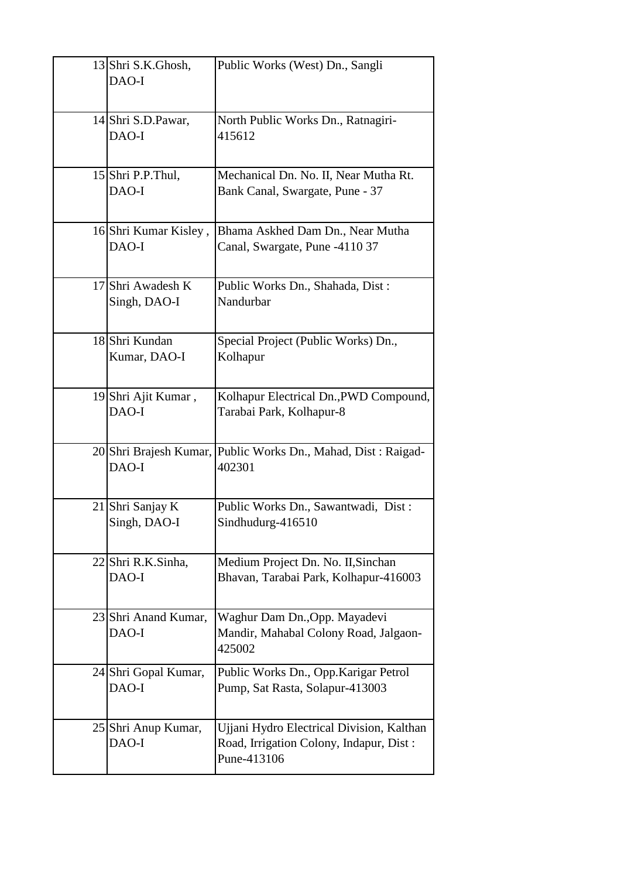| 13 Shri S.K.Ghosh,<br>DAO-I       | Public Works (West) Dn., Sangli                                                                     |
|-----------------------------------|-----------------------------------------------------------------------------------------------------|
| 14 Shri S.D. Pawar,<br>DAO-I      | North Public Works Dn., Ratnagiri-<br>415612                                                        |
| 15 Shri P.P.Thul,<br>DAO-I        | Mechanical Dn. No. II, Near Mutha Rt.<br>Bank Canal, Swargate, Pune - 37                            |
| 16 Shri Kumar Kisley,<br>DAO-I    | Bhama Askhed Dam Dn., Near Mutha<br>Canal, Swargate, Pune -4110 37                                  |
| 17 Shri Awadesh K<br>Singh, DAO-I | Public Works Dn., Shahada, Dist:<br>Nandurbar                                                       |
| 18 Shri Kundan<br>Kumar, DAO-I    | Special Project (Public Works) Dn.,<br>Kolhapur                                                     |
| 19 Shri Ajit Kumar,<br>DAO-I      | Kolhapur Electrical Dn., PWD Compound,<br>Tarabai Park, Kolhapur-8                                  |
| DAO-I                             | 20 Shri Brajesh Kumar, Public Works Dn., Mahad, Dist: Raigad-<br>402301                             |
| 21 Shri Sanjay K<br>Singh, DAO-I  | Public Works Dn., Sawantwadi, Dist:<br>Sindhudurg-416510                                            |
| 22 Shri R.K.Sinha,<br>DAO-I       | Medium Project Dn. No. II, Sinchan<br>Bhavan, Tarabai Park, Kolhapur-416003                         |
| 23 Shri Anand Kumar,<br>DAO-I     | Waghur Dam Dn., Opp. Mayadevi<br>Mandir, Mahabal Colony Road, Jalgaon-<br>425002                    |
| 24 Shri Gopal Kumar,<br>DAO-I     | Public Works Dn., Opp.Karigar Petrol<br>Pump, Sat Rasta, Solapur-413003                             |
| 25 Shri Anup Kumar,<br>DAO-I      | Ujjani Hydro Electrical Division, Kalthan<br>Road, Irrigation Colony, Indapur, Dist:<br>Pune-413106 |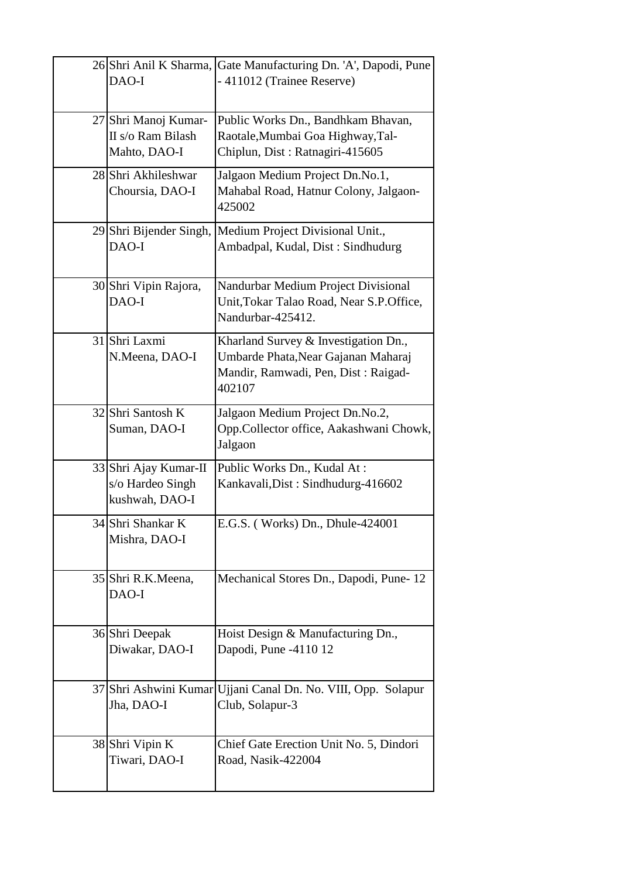| 26 Shri Anil K Sharma,<br>DAO-I                             | Gate Manufacturing Dn. 'A', Dapodi, Pune<br>-411012 (Trainee Reserve)                                                        |
|-------------------------------------------------------------|------------------------------------------------------------------------------------------------------------------------------|
| 27 Shri Manoj Kumar-<br>II s/o Ram Bilash<br>Mahto, DAO-I   | Public Works Dn., Bandhkam Bhavan,<br>Raotale, Mumbai Goa Highway, Tal-<br>Chiplun, Dist: Ratnagiri-415605                   |
| 28 Shri Akhileshwar<br>Choursia, DAO-I                      | Jalgaon Medium Project Dn.No.1,<br>Mahabal Road, Hatnur Colony, Jalgaon-<br>425002                                           |
| 29 Shri Bijender Singh,<br>DAO-I                            | Medium Project Divisional Unit.,<br>Ambadpal, Kudal, Dist: Sindhudurg                                                        |
| 30 Shri Vipin Rajora,<br>DAO-I                              | Nandurbar Medium Project Divisional<br>Unit, Tokar Talao Road, Near S.P. Office,<br>Nandurbar-425412.                        |
| 31 Shri Laxmi<br>N.Meena, DAO-I                             | Kharland Survey & Investigation Dn.,<br>Umbarde Phata, Near Gajanan Maharaj<br>Mandir, Ramwadi, Pen, Dist: Raigad-<br>402107 |
| 32 Shri Santosh K<br>Suman, DAO-I                           | Jalgaon Medium Project Dn.No.2,<br>Opp.Collector office, Aakashwani Chowk,<br>Jalgaon                                        |
| 33 Shri Ajay Kumar-II<br>s/o Hardeo Singh<br>kushwah, DAO-I | Public Works Dn., Kudal At:<br>Kankavali, Dist: Sindhudurg-416602                                                            |
| 34 Shri Shankar K<br>Mishra, DAO-I                          | E.G.S. (Works) Dn., Dhule-424001                                                                                             |
| 35 Shri R.K.Meena,<br>DAO-I                                 | Mechanical Stores Dn., Dapodi, Pune-12                                                                                       |
| 36 Shri Deepak<br>Diwakar, DAO-I                            | Hoist Design & Manufacturing Dn.,<br>Dapodi, Pune -4110 12                                                                   |
| 37 Shri Ashwini Kumar<br>Jha, DAO-I                         | Ujjani Canal Dn. No. VIII, Opp. Solapur<br>Club, Solapur-3                                                                   |
| 38 Shri Vipin K<br>Tiwari, DAO-I                            | Chief Gate Erection Unit No. 5, Dindori<br>Road, Nasik-422004                                                                |